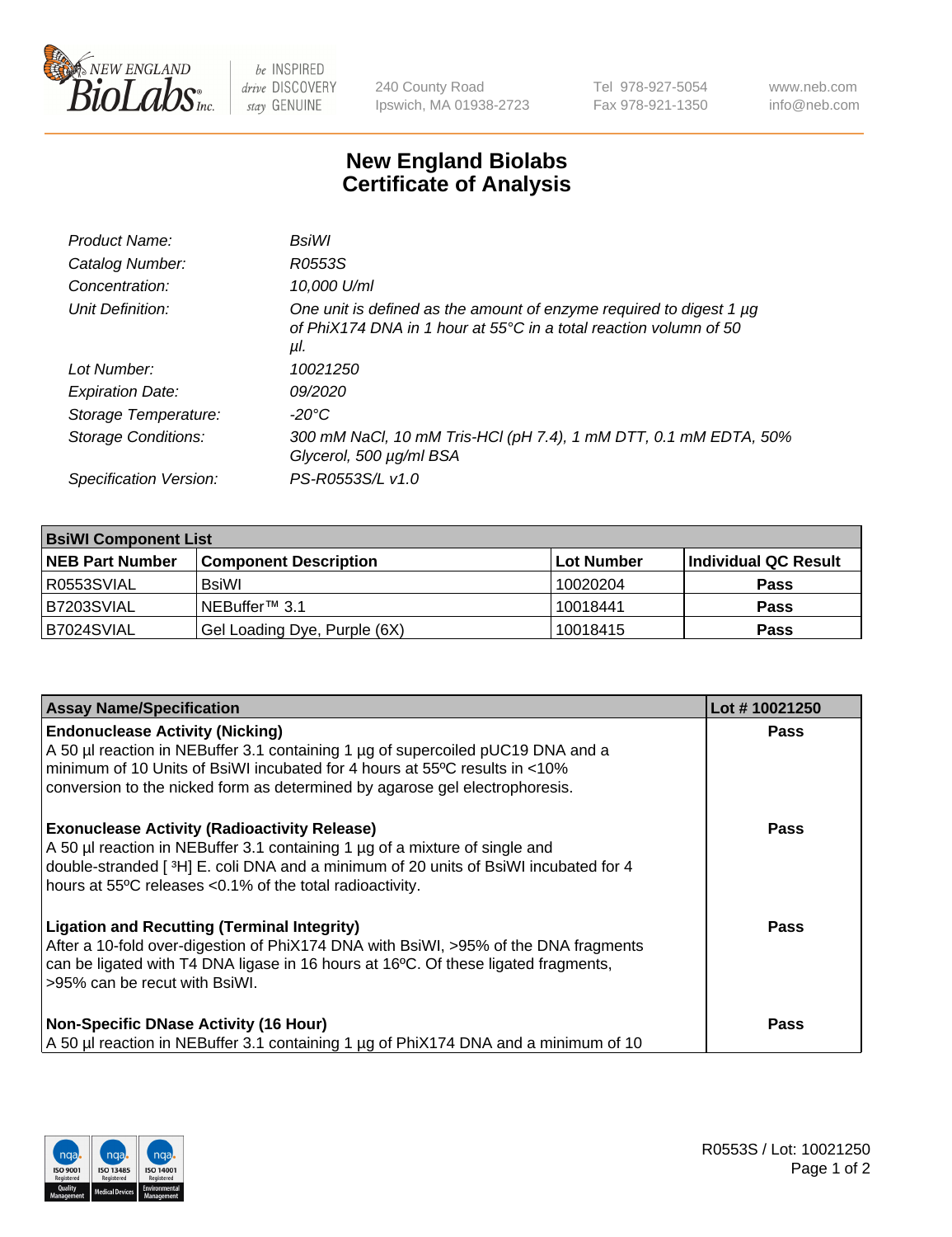

 $be$  INSPIRED drive DISCOVERY stay GENUINE

240 County Road Ipswich, MA 01938-2723 Tel 978-927-5054 Fax 978-921-1350 www.neb.com info@neb.com

## **New England Biolabs Certificate of Analysis**

| Product Name:           | BsiWl                                                                                                                                                           |
|-------------------------|-----------------------------------------------------------------------------------------------------------------------------------------------------------------|
| Catalog Number:         | R0553S                                                                                                                                                          |
| Concentration:          | 10,000 U/ml                                                                                                                                                     |
| Unit Definition:        | One unit is defined as the amount of enzyme required to digest 1 $\mu$ g<br>of PhiX174 DNA in 1 hour at 55 $^{\circ}$ C in a total reaction volumn of 50<br>μl. |
| Lot Number:             | 10021250                                                                                                                                                        |
| <b>Expiration Date:</b> | 09/2020                                                                                                                                                         |
| Storage Temperature:    | -20°C                                                                                                                                                           |
| Storage Conditions:     | 300 mM NaCl, 10 mM Tris-HCl (pH 7.4), 1 mM DTT, 0.1 mM EDTA, 50%<br>Glycerol, 500 µg/ml BSA                                                                     |
| Specification Version:  | PS-R0553S/L v1.0                                                                                                                                                |
|                         |                                                                                                                                                                 |

| <b>BsiWI Component List</b> |                              |                   |                      |  |
|-----------------------------|------------------------------|-------------------|----------------------|--|
| <b>NEB Part Number</b>      | <b>Component Description</b> | <b>Lot Number</b> | Individual QC Result |  |
| R0553SVIAL                  | BsiWl                        | 10020204          | <b>Pass</b>          |  |
| B7203SVIAL                  | NEBuffer™ 3.1                | 10018441          | <b>Pass</b>          |  |
| B7024SVIAL                  | Gel Loading Dye, Purple (6X) | 10018415          | <b>Pass</b>          |  |

| <b>Assay Name/Specification</b>                                                                                                                                                                                                                                                           | Lot #10021250 |
|-------------------------------------------------------------------------------------------------------------------------------------------------------------------------------------------------------------------------------------------------------------------------------------------|---------------|
| <b>Endonuclease Activity (Nicking)</b><br>A 50 µl reaction in NEBuffer 3.1 containing 1 µg of supercoiled pUC19 DNA and a<br>minimum of 10 Units of BsiWI incubated for 4 hours at 55°C results in <10%<br>conversion to the nicked form as determined by agarose gel electrophoresis.    | <b>Pass</b>   |
| <b>Exonuclease Activity (Radioactivity Release)</b><br>A 50 µl reaction in NEBuffer 3.1 containing 1 µg of a mixture of single and<br>double-stranded [ $3H$ ] E. coli DNA and a minimum of 20 units of BsiWI incubated for 4<br>hours at 55°C releases <0.1% of the total radioactivity. | <b>Pass</b>   |
| <b>Ligation and Recutting (Terminal Integrity)</b><br>After a 10-fold over-digestion of PhiX174 DNA with BsiWI, >95% of the DNA fragments<br>can be ligated with T4 DNA ligase in 16 hours at 16°C. Of these ligated fragments,<br>>95% can be recut with BsiWI.                          | <b>Pass</b>   |
| <b>Non-Specific DNase Activity (16 Hour)</b><br>A 50 µl reaction in NEBuffer 3.1 containing 1 µg of PhiX174 DNA and a minimum of 10                                                                                                                                                       | <b>Pass</b>   |